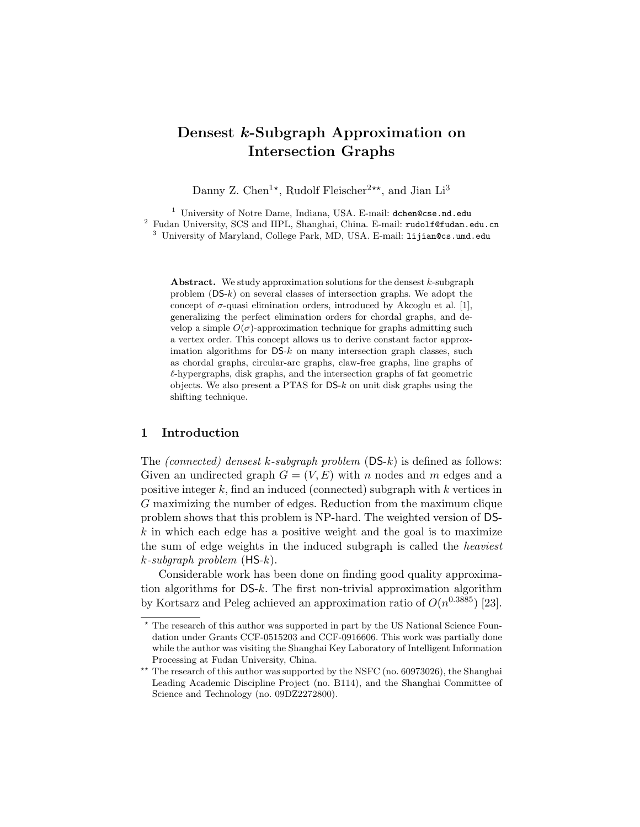# Densest k-Subgraph Approximation on Intersection Graphs

Danny Z. Chen<sup>1\*</sup>, Rudolf Fleischer<sup>2\*\*</sup>, and Jian Li<sup>3</sup>

<sup>1</sup> University of Notre Dame, Indiana, USA. E-mail: dchen@cse.nd.edu <sup>2</sup> Fudan University, SCS and IIPL, Shanghai, China. E-mail: rudolf@fudan.edu.cn <sup>3</sup> University of Maryland, College Park, MD, USA. E-mail: lijian@cs.umd.edu

**Abstract.** We study approximation solutions for the densest  $k$ -subgraph problem  $(DS-k)$  on several classes of intersection graphs. We adopt the concept of  $\sigma$ -quasi elimination orders, introduced by Akcoglu et al. [1], generalizing the perfect elimination orders for chordal graphs, and develop a simple  $O(\sigma)$ -approximation technique for graphs admitting such a vertex order. This concept allows us to derive constant factor approximation algorithms for  $DS-k$  on many intersection graph classes, such as chordal graphs, circular-arc graphs, claw-free graphs, line graphs of  $\ell$ -hypergraphs, disk graphs, and the intersection graphs of fat geometric objects. We also present a PTAS for  $DS-k$  on unit disk graphs using the shifting technique.

## 1 Introduction

The *(connected)* densest k-subgraph problem  $(DS-k)$  is defined as follows: Given an undirected graph  $G = (V, E)$  with n nodes and m edges and a positive integer  $k$ , find an induced (connected) subgraph with  $k$  vertices in G maximizing the number of edges. Reduction from the maximum clique problem shows that this problem is NP-hard. The weighted version of DS $k$  in which each edge has a positive weight and the goal is to maximize the sum of edge weights in the induced subgraph is called the heaviest  $k$ -subgraph problem (HS- $k$ ).

Considerable work has been done on finding good quality approximation algorithms for  $DS-k$ . The first non-trivial approximation algorithm by Kortsarz and Peleg achieved an approximation ratio of  $O(n^{0.3885})$  [23].

<sup>?</sup> The research of this author was supported in part by the US National Science Foundation under Grants CCF-0515203 and CCF-0916606. This work was partially done while the author was visiting the Shanghai Key Laboratory of Intelligent Information Processing at Fudan University, China.

<sup>\*\*</sup> The research of this author was supported by the NSFC (no. 60973026), the Shanghai Leading Academic Discipline Project (no. B114), and the Shanghai Committee of Science and Technology (no. 09DZ2272800).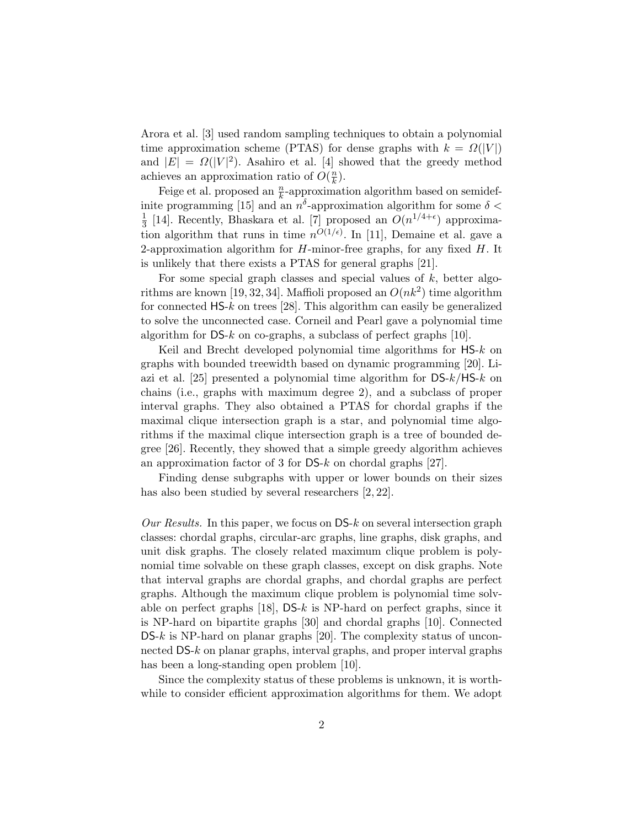Arora et al. [3] used random sampling techniques to obtain a polynomial time approximation scheme (PTAS) for dense graphs with  $k = \Omega(|V|)$ and  $|E| = \Omega(|V|^2)$ . Asahiro et al. [4] showed that the greedy method achieves an approximation ratio of  $O(\frac{n}{k})$  $\frac{n}{k}$ ).

Feige et al. proposed an  $\frac{n}{k}$ -approximation algorithm based on semidefinite programming [15] and an  $n^{\delta}$ -approximation algorithm for some  $\delta$  < 1  $\frac{1}{3}$  [14]. Recently, Bhaskara et al. [7] proposed an  $O(n^{1/4+\epsilon})$  approximation algorithm that runs in time  $n^{O(1/\epsilon)}$ . In [11], Demaine et al. gave a 2-approximation algorithm for  $H$ -minor-free graphs, for any fixed  $H$ . It is unlikely that there exists a PTAS for general graphs [21].

For some special graph classes and special values of  $k$ , better algorithms are known [19, 32, 34]. Maffioli proposed an  $O(nk^2)$  time algorithm for connected  $HS-k$  on trees [28]. This algorithm can easily be generalized to solve the unconnected case. Corneil and Pearl gave a polynomial time algorithm for  $DS-k$  on co-graphs, a subclass of perfect graphs [10].

Keil and Brecht developed polynomial time algorithms for HS-k on graphs with bounded treewidth based on dynamic programming [20]. Liazi et al. [25] presented a polynomial time algorithm for  $DS-k/HS-k$  on chains (i.e., graphs with maximum degree 2), and a subclass of proper interval graphs. They also obtained a PTAS for chordal graphs if the maximal clique intersection graph is a star, and polynomial time algorithms if the maximal clique intersection graph is a tree of bounded degree [26]. Recently, they showed that a simple greedy algorithm achieves an approximation factor of 3 for DS-k on chordal graphs [27].

Finding dense subgraphs with upper or lower bounds on their sizes has also been studied by several researchers [2, 22].

Our Results. In this paper, we focus on  $DS-k$  on several intersection graph classes: chordal graphs, circular-arc graphs, line graphs, disk graphs, and unit disk graphs. The closely related maximum clique problem is polynomial time solvable on these graph classes, except on disk graphs. Note that interval graphs are chordal graphs, and chordal graphs are perfect graphs. Although the maximum clique problem is polynomial time solvable on perfect graphs  $[18]$ , DS-k is NP-hard on perfect graphs, since it is NP-hard on bipartite graphs [30] and chordal graphs [10]. Connected  $DS-k$  is NP-hard on planar graphs [20]. The complexity status of unconnected DS-k on planar graphs, interval graphs, and proper interval graphs has been a long-standing open problem [10].

Since the complexity status of these problems is unknown, it is worthwhile to consider efficient approximation algorithms for them. We adopt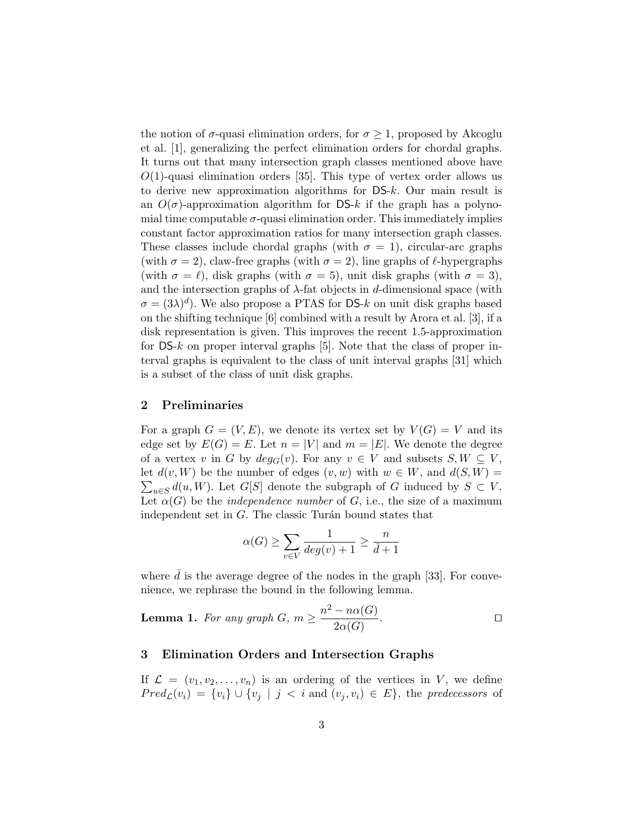the notion of  $\sigma$ -quasi elimination orders, for  $\sigma \geq 1$ , proposed by Akcoglu et al. [1], generalizing the perfect elimination orders for chordal graphs. It turns out that many intersection graph classes mentioned above have  $O(1)$ -quasi elimination orders [35]. This type of vertex order allows us to derive new approximation algorithms for DS-k. Our main result is an  $O(\sigma)$ -approximation algorithm for DS-k if the graph has a polynomial time computable  $\sigma$ -quasi elimination order. This immediately implies constant factor approximation ratios for many intersection graph classes. These classes include chordal graphs (with  $\sigma = 1$ ), circular-arc graphs (with  $\sigma = 2$ ), claw-free graphs (with  $\sigma = 2$ ), line graphs of  $\ell$ -hypergraphs (with  $\sigma = \ell$ ), disk graphs (with  $\sigma = 5$ ), unit disk graphs (with  $\sigma = 3$ ), and the intersection graphs of  $\lambda$ -fat objects in d-dimensional space (with  $\sigma = (3\lambda)^d$ ). We also propose a PTAS for DS-k on unit disk graphs based on the shifting technique [6] combined with a result by Arora et al. [3], if a disk representation is given. This improves the recent 1.5-approximation for  $DS-k$  on proper interval graphs [5]. Note that the class of proper interval graphs is equivalent to the class of unit interval graphs [31] which is a subset of the class of unit disk graphs.

## 2 Preliminaries

For a graph  $G = (V, E)$ , we denote its vertex set by  $V(G) = V$  and its edge set by  $E(G) = E$ . Let  $n = |V|$  and  $m = |E|$ . We denote the degree of a vertex v in G by  $deg_G(v)$ . For any  $v \in V$  and subsets  $S, W \subseteq V$ ,  $\sum_{u\in S} d(u, W)$ . Let G[S] denote the subgraph of G induced by  $S \subset V$ . let  $d(v, W)$  be the number of edges  $(v, w)$  with  $w \in W$ , and  $d(S, W) =$ Let  $\alpha(G)$  be the *independence number* of G, i.e., the size of a maximum independent set in  $G$ . The classic Turán bound states that

$$
\alpha(G) \ge \sum_{v \in V} \frac{1}{deg(v) + 1} \ge \frac{n}{\bar{d} + 1}
$$

where  $d$  is the average degree of the nodes in the graph [33]. For convenience, we rephrase the bound in the following lemma.

**Lemma 1.** For any graph  $G, m \geq \frac{n^2 - n\alpha(G)}{2\alpha(G)}$  $2\alpha(G)$ . The contract of  $\Box$ 

# 3 Elimination Orders and Intersection Graphs

If  $\mathcal{L} = (v_1, v_2, \dots, v_n)$  is an ordering of the vertices in V, we define  $Pred_{\mathcal{L}}(v_i) = \{v_i\} \cup \{v_j \mid j \leq i \text{ and } (v_j, v_i) \in E\},\$  the predecessors of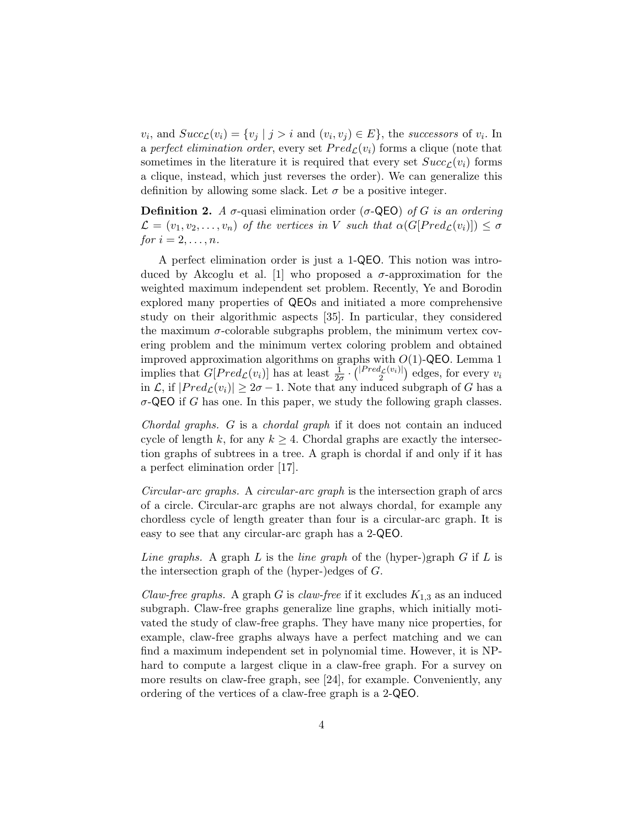$v_i$ , and  $Succ_{\mathcal{L}}(v_i) = \{v_j \mid j > i \text{ and } (v_i, v_j) \in E\}$ , the successors of  $v_i$ . In a perfect elimination order, every set  $Pred_{\mathcal{L}}(v_i)$  forms a clique (note that sometimes in the literature it is required that every set  $Succ_{\mathcal{C}}(v_i)$  forms a clique, instead, which just reverses the order). We can generalize this definition by allowing some slack. Let  $\sigma$  be a positive integer.

**Definition 2.** A  $\sigma$ -quasi elimination order ( $\sigma$ -QEO) of G is an ordering  $\mathcal{L} = (v_1, v_2, \dots, v_n)$  of the vertices in V such that  $\alpha(G[Pred_{\mathcal{L}}(v_i)]) \leq \sigma$ for  $i = 2, \ldots, n$ .

A perfect elimination order is just a 1-QEO. This notion was introduced by Akcoglu et al. [1] who proposed a  $\sigma$ -approximation for the weighted maximum independent set problem. Recently, Ye and Borodin explored many properties of QEOs and initiated a more comprehensive study on their algorithmic aspects [35]. In particular, they considered the maximum  $\sigma$ -colorable subgraphs problem, the minimum vertex covering problem and the minimum vertex coloring problem and obtained improved approximation algorithms on graphs with  $O(1)$ -QEO. Lemma 1 implies that  $G[Pred_{\mathcal{L}}(v_i)]$  has at least  $\frac{1}{2\sigma} \cdot {\binom{|Pred_{\mathcal{L}}(v_i)|}{2}}$  edges, for every  $v_i$ in  $\mathcal{L}$ , if  $|Pred_{\mathcal{L}}(v_i)| \geq 2\sigma - 1$ . Note that any induced subgraph of G has a  $\sigma$ -QEO if G has one. In this paper, we study the following graph classes.

Chordal graphs. G is a chordal graph if it does not contain an induced cycle of length k, for any  $k \geq 4$ . Chordal graphs are exactly the intersection graphs of subtrees in a tree. A graph is chordal if and only if it has a perfect elimination order [17].

Circular-arc graphs. A circular-arc graph is the intersection graph of arcs of a circle. Circular-arc graphs are not always chordal, for example any chordless cycle of length greater than four is a circular-arc graph. It is easy to see that any circular-arc graph has a 2-QEO.

Line graphs. A graph L is the line graph of the (hyper-)graph  $G$  if  $L$  is the intersection graph of the (hyper-)edges of G.

Claw-free graphs. A graph G is claw-free if it excludes  $K_{1,3}$  as an induced subgraph. Claw-free graphs generalize line graphs, which initially motivated the study of claw-free graphs. They have many nice properties, for example, claw-free graphs always have a perfect matching and we can find a maximum independent set in polynomial time. However, it is NPhard to compute a largest clique in a claw-free graph. For a survey on more results on claw-free graph, see [24], for example. Conveniently, any ordering of the vertices of a claw-free graph is a 2-QEO.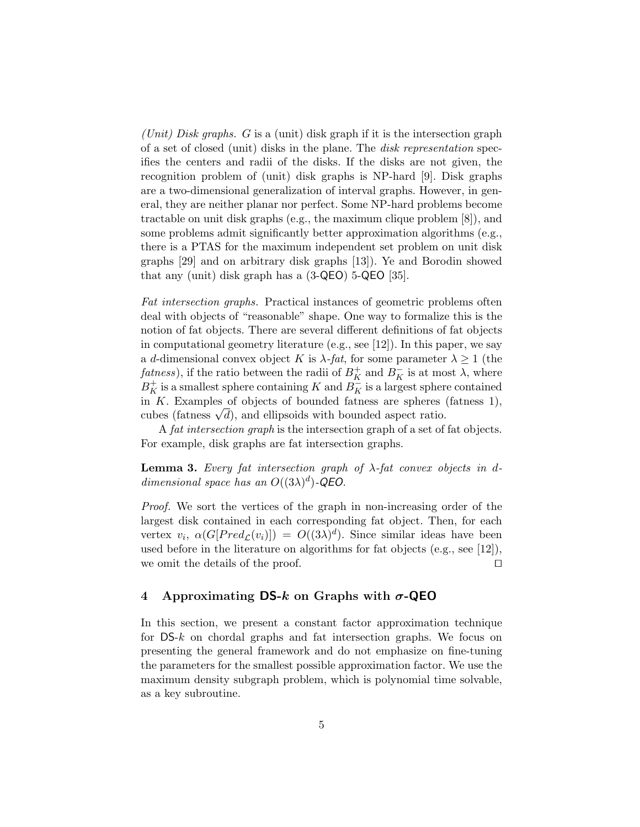(Unit) Disk graphs. G is a (unit) disk graph if it is the intersection graph of a set of closed (unit) disks in the plane. The disk representation specifies the centers and radii of the disks. If the disks are not given, the recognition problem of (unit) disk graphs is NP-hard [9]. Disk graphs are a two-dimensional generalization of interval graphs. However, in general, they are neither planar nor perfect. Some NP-hard problems become tractable on unit disk graphs (e.g., the maximum clique problem [8]), and some problems admit significantly better approximation algorithms (e.g., there is a PTAS for the maximum independent set problem on unit disk graphs [29] and on arbitrary disk graphs [13]). Ye and Borodin showed that any (unit) disk graph has a (3-QEO) 5-QEO [35].

Fat intersection graphs. Practical instances of geometric problems often deal with objects of "reasonable" shape. One way to formalize this is the notion of fat objects. There are several different definitions of fat objects in computational geometry literature (e.g., see [12]). In this paper, we say a d-dimensional convex object K is  $\lambda$ -fat, for some parameter  $\lambda \geq 1$  (the  $\mathit{fatness}$ ), if the ratio between the radii of  $B_K^+$  and  $B_K^-$  is at most  $\lambda$ , where  $B_K^+$  is a smallest sphere containing K and  $B_K^-$  is a largest sphere contained in  $K$ . Examples of objects of bounded fatness are spheres (fatness 1), in *K*. Examples of objects of bounded fathess are spheres cubes (fathess  $\sqrt{d}$ ), and ellipsoids with bounded aspect ratio.

A fat intersection graph is the intersection graph of a set of fat objects. For example, disk graphs are fat intersection graphs.

**Lemma 3.** Every fat intersection graph of  $\lambda$ -fat convex objects in ddimensional space has an  $O((3\lambda)^d)$ -QEO.

Proof. We sort the vertices of the graph in non-increasing order of the largest disk contained in each corresponding fat object. Then, for each vertex  $v_i$ ,  $\alpha(G[Pred_{\mathcal{L}}(v_i)]) = O((3\lambda)^d)$ . Since similar ideas have been used before in the literature on algorithms for fat objects (e.g., see [12]), we omit the details of the proof.  $\Box$ 

## 4 Approximating DS-k on Graphs with  $\sigma$ -QEO

In this section, we present a constant factor approximation technique for DS-k on chordal graphs and fat intersection graphs. We focus on presenting the general framework and do not emphasize on fine-tuning the parameters for the smallest possible approximation factor. We use the maximum density subgraph problem, which is polynomial time solvable, as a key subroutine.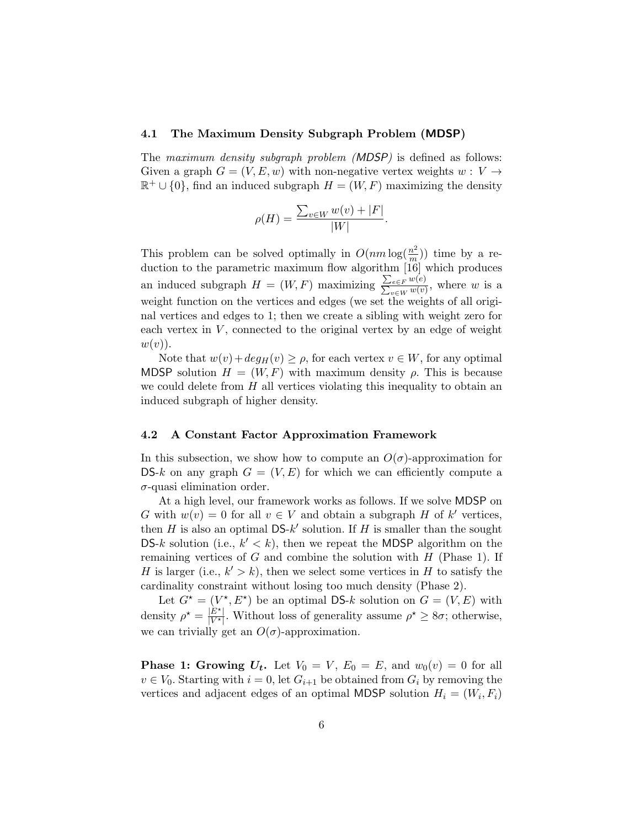#### 4.1 The Maximum Density Subgraph Problem (MDSP)

The *maximum density subgraph problem (MDSP)* is defined as follows: Given a graph  $G = (V, E, w)$  with non-negative vertex weights  $w : V \rightarrow$  $\mathbb{R}^+ \cup \{0\}$ , find an induced subgraph  $H = (W, F)$  maximizing the density

$$
\rho(H) = \frac{\sum_{v \in W} w(v) + |F|}{|W|}.
$$

This problem can be solved optimally in  $O(nm \log(\frac{n^2}{m}))$  $\frac{m^2}{m}$ )) time by a reduction to the parametric maximum flow algorithm [16] which produces an induced subgraph  $H = (W, F)$  maximizing  $\frac{\sum_{e \in F} w(e)}{\sum_{v \in W} w(v)}$ , where w is a weight function on the vertices and edges (we set the weights of all original vertices and edges to 1; then we create a sibling with weight zero for each vertex in  $V$ , connected to the original vertex by an edge of weight  $w(v)$ ).

Note that  $w(v) + deg_H(v) \ge \rho$ , for each vertex  $v \in W$ , for any optimal MDSP solution  $H = (W, F)$  with maximum density  $\rho$ . This is because we could delete from  $H$  all vertices violating this inequality to obtain an induced subgraph of higher density.

#### 4.2 A Constant Factor Approximation Framework

In this subsection, we show how to compute an  $O(\sigma)$ -approximation for DS-k on any graph  $G = (V, E)$  for which we can efficiently compute a  $\sigma$ -quasi elimination order.

At a high level, our framework works as follows. If we solve MDSP on G with  $w(v) = 0$  for all  $v \in V$  and obtain a subgraph H of k' vertices, then  $H$  is also an optimal  $DS-k'$  solution. If  $H$  is smaller than the sought DS-k solution (i.e.,  $k' < k$ ), then we repeat the MDSP algorithm on the remaining vertices of  $G$  and combine the solution with  $H$  (Phase 1). If H is larger (i.e.,  $k' > k$ ), then we select some vertices in H to satisfy the cardinality constraint without losing too much density (Phase 2).

Let  $G^* = (V^*, E^*)$  be an optimal DS-k solution on  $G = (V, E)$  with density  $\rho^* = \frac{|\tilde{E}^*|}{|V^*|}$  $\frac{|E^{\star}|}{|V^{\star}|}$ . Without loss of generality assume  $\rho^{\star} \ge 8\sigma$ ; otherwise, we can trivially get an  $O(\sigma)$ -approximation.

**Phase 1: Growing**  $U_t$ **.** Let  $V_0 = V$ ,  $E_0 = E$ , and  $w_0(v) = 0$  for all  $v \in V_0$ . Starting with  $i = 0$ , let  $G_{i+1}$  be obtained from  $G_i$  by removing the vertices and adjacent edges of an optimal MDSP solution  $H_i = (W_i, F_i)$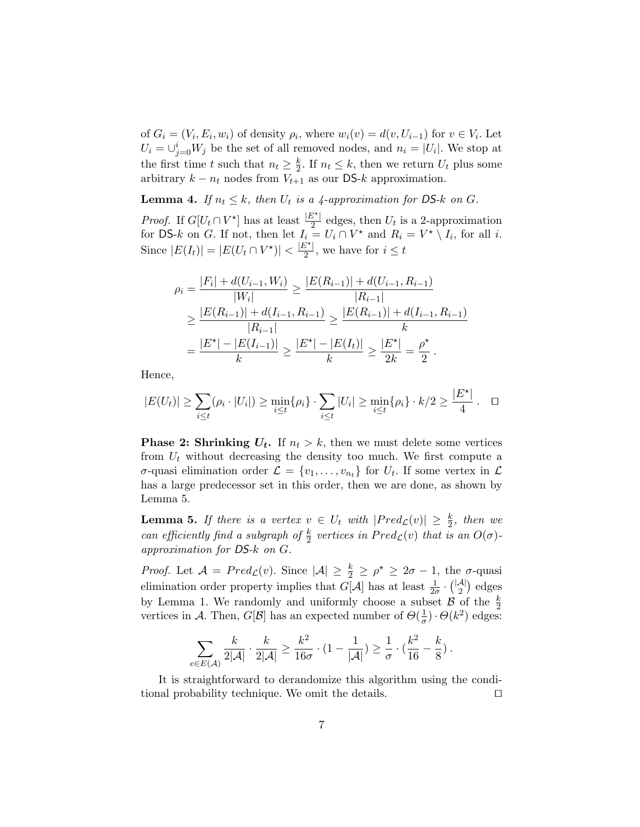of  $G_i = (V_i, E_i, w_i)$  of density  $\rho_i$ , where  $w_i(v) = d(v, U_{i-1})$  for  $v \in V_i$ . Let  $U_i = \bigcup_{j=0}^{i} W_j$  be the set of all removed nodes, and  $n_i = |U_i|$ . We stop at the first time t such that  $n_t \geq \frac{k}{2}$  $\frac{k}{2}$ . If  $n_t \leq k$ , then we return  $U_t$  plus some arbitrary  $k - n_t$  nodes from  $V_{t+1}$  as our DS- $k$  approximation.

**Lemma 4.** If  $n_t \leq k$ , then  $U_t$  is a 4-approximation for DS-k on G.

*Proof.* If  $G[U_t \cap V^{\star}]$  has at least  $\frac{|E^{\star}|}{2}$  edges, then  $U_t$  is a 2-approximation for DS-k on G. If not, then let  $I_i = U_i \cap V^*$  and  $R_i = V^* \setminus I_i$ , for all i. Since  $|E(I_t)| = |E(U_t \cap V^*)| < \frac{|E^*|}{2}$  $\frac{i}{2}$ , we have for  $i \leq t$ 

$$
\rho_i = \frac{|F_i| + d(U_{i-1}, W_i)}{|W_i|} \ge \frac{|E(R_{i-1})| + d(U_{i-1}, R_{i-1})|}{|R_{i-1}|}
$$
  
\n
$$
\ge \frac{|E(R_{i-1})| + d(I_{i-1}, R_{i-1})|}{|R_{i-1}|} \ge \frac{|E(R_{i-1})| + d(I_{i-1}, R_{i-1})|}{k}
$$
  
\n
$$
= \frac{|E^*| - |E(I_{i-1})|}{k} \ge \frac{|E^*| - |E(I_{i})|}{k} \ge \frac{|E^*|}{2k} = \frac{\rho^*}{2}.
$$

Hence,

$$
|E(U_t)| \geq \sum_{i \leq t} (\rho_i \cdot |U_i|) \geq \min_{i \leq t} {\rho_i} \cdot \sum_{i \leq t} |U_i| \geq \min_{i \leq t} {\rho_i} \cdot k/2 \geq \frac{|E^{\star}|}{4} . \quad \Box
$$

**Phase 2: Shrinking**  $U_t$ **.** If  $n_t > k$ , then we must delete some vertices from  $U_t$  without decreasing the density too much. We first compute a  $\sigma$ -quasi elimination order  $\mathcal{L} = \{v_1, \ldots, v_{n_t}\}\$ for  $U_t$ . If some vertex in  $\mathcal{L}$ has a large predecessor set in this order, then we are done, as shown by Lemma 5.

**Lemma 5.** If there is a vertex  $v oldsymbol{\in} U_t$  with  $|Pred_{\mathcal{L}}(v)| \geq \frac{k}{2}$ , then we can efficiently find a subgraph of  $\frac{k}{2}$  vertices in  $Pred_{\mathcal{L}}(v)$  that is an  $O(\sigma)$ approximation for DS-k on G.

*Proof.* Let  $\mathcal{A} = Pred_{\mathcal{L}}(v)$ . Since  $|\mathcal{A}| \geq \frac{k}{2} \geq \rho^* \geq 2\sigma - 1$ , the  $\sigma$ -quasi elimination order property implies that  $G[\mathcal{A}]$  has at least  $\frac{1}{2\sigma} \cdot {\binom{|\mathcal{A}|}{2}}$  $2^{A|}$  edges by Lemma 1. We randomly and uniformly choose a subset  $\mathcal{B}$  of the  $\frac{k}{2}$ vertices in A. Then,  $G[\mathcal{B}]$  has an expected number of  $\Theta(\frac{1}{\sigma})$  $(\frac{1}{\sigma})\cdot\Theta(k^2)$  edges:

$$
\sum_{e \in E(\mathcal{A})} \frac{k}{2|\mathcal{A}|} \cdot \frac{k}{2|\mathcal{A}|} \geq \frac{k^2}{16\sigma} \cdot (1 - \frac{1}{|\mathcal{A}|}) \geq \frac{1}{\sigma} \cdot (\frac{k^2}{16} - \frac{k}{8}) \ .
$$

It is straightforward to derandomize this algorithm using the conditional probability technique. We omit the details.  $\Box$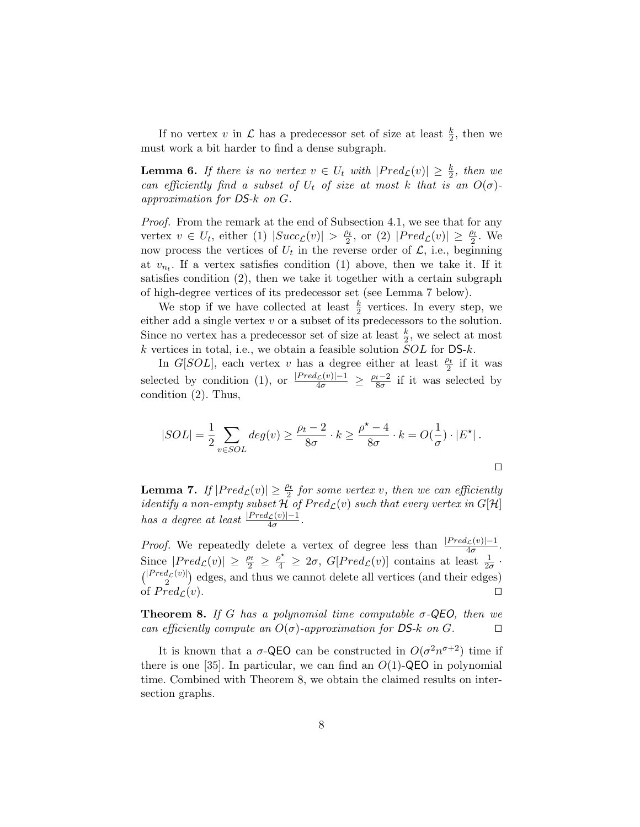If no vertex v in  $\mathcal L$  has a predecessor set of size at least  $\frac{k}{2}$ , then we must work a bit harder to find a dense subgraph.

**Lemma 6.** If there is no vertex  $v \in U_t$  with  $|Pred_{\mathcal{L}}(v)| \geq \frac{k}{2}$ , then we can efficiently find a subset of  $U_t$  of size at most k that is an  $O(\sigma)$ approximation for DS-k on G.

Proof. From the remark at the end of Subsection 4.1, we see that for any vertex  $v \in U_t$ , either (1)  $|Succ_{\mathcal{L}}(v)| > \frac{\rho_t}{2}$  $\frac{\rho_t}{2}$ , or (2)  $|Pred_{\mathcal{L}}(v)| \geq \frac{\rho_t}{2}$ . We now process the vertices of  $U_t$  in the reverse order of  $\mathcal{L}$ , i.e., beginning at  $v_{n_t}$ . If a vertex satisfies condition (1) above, then we take it. If it satisfies condition (2), then we take it together with a certain subgraph of high-degree vertices of its predecessor set (see Lemma 7 below).

We stop if we have collected at least  $\frac{k}{2}$  vertices. In every step, we either add a single vertex  $v$  or a subset of its predecessors to the solution. Since no vertex has a predecessor set of size at least  $\frac{k}{2}$ , we select at most k vertices in total, i.e., we obtain a feasible solution  $SOL$  for  $DS-k$ .

In G[SOL], each vertex v has a degree either at least  $\frac{\rho_t}{2}$  if it was selected by condition (1), or  $\frac{|Pred_{\mathcal{L}}(v)| - 1}{4\sigma} \geq \frac{\rho_t - 2}{8\sigma}$  $rac{t-2}{8\sigma}$  if it was selected by condition (2). Thus,

$$
|SOL| = \frac{1}{2} \sum_{v \in SOL} deg(v) \ge \frac{\rho_t - 2}{8\sigma} \cdot k \ge \frac{\rho^{\star} - 4}{8\sigma} \cdot k = O(\frac{1}{\sigma}) \cdot |E^{\star}|.
$$

**Lemma 7.** If  $|Pred_{\mathcal{L}}(v)| \geq \frac{\rho_t}{2}$  for some vertex v, then we can efficiently *identify a non-empty subset*  $H$  of  $Pred_{\mathcal{L}}(v)$  such that every vertex in  $G[H]$ has a degree at least  $\frac{|Pred_{\mathcal{L}}(v)| - 1}{4\sigma}$ .

*Proof.* We repeatedly delete a vertex of degree less than  $\frac{|Pred_{\mathcal{L}}(v)| - 1}{4\sigma}$ . Since  $|Pred_{\mathcal{L}}(v)| \geq \frac{\rho_t}{2} \geq \frac{\rho^{\star}}{4} \geq 2\sigma$ ,  $G[Pred_{\mathcal{L}}(v)]$  contains at least  $\frac{1}{2\sigma}$ .  $\binom{|Pred_{\mathcal{L}}(v)|}{2}$  edges, and thus we cannot delete all vertices (and their edges) of  $Pred_{\mathcal{L}}(v)$ .

**Theorem 8.** If G has a polynomial time computable  $\sigma$ -QEO, then we can efficiently compute an  $O(\sigma)$ -approximation for DS-k on G.

It is known that a  $\sigma$ -QEO can be constructed in  $O(\sigma^2 n^{\sigma+2})$  time if there is one [35]. In particular, we can find an  $O(1)$ -QEO in polynomial time. Combined with Theorem 8, we obtain the claimed results on intersection graphs.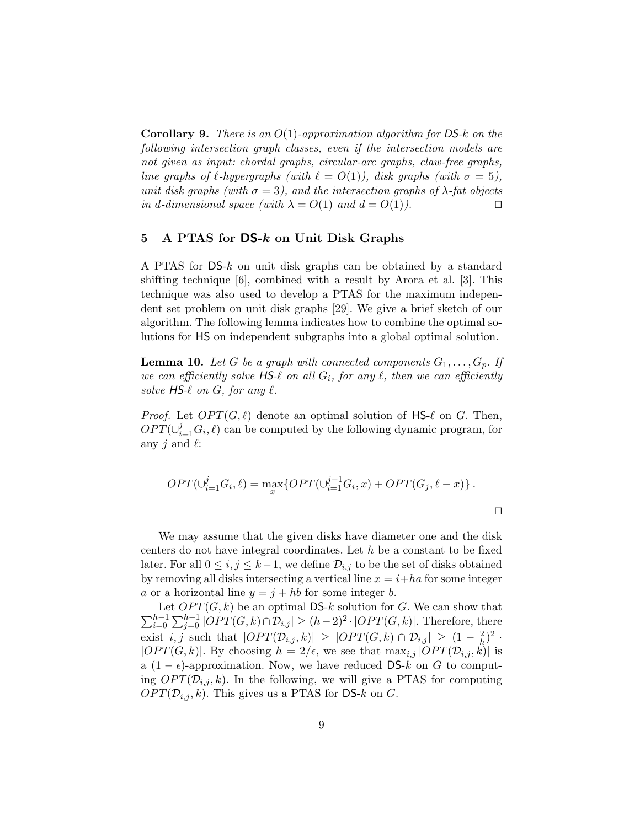**Corollary 9.** There is an  $O(1)$ -approximation algorithm for DS-k on the following intersection graph classes, even if the intersection models are not given as input: chordal graphs, circular-arc graphs, claw-free graphs, line graphs of  $\ell$ -hypergraphs (with  $\ell = O(1)$ ), disk graphs (with  $\sigma = 5$ ), unit disk graphs (with  $\sigma = 3$ ), and the intersection graphs of  $\lambda$ -fat objects in d-dimensional space (with  $\lambda = O(1)$  and  $d = O(1)$ ).

# 5 A PTAS for  $DS-k$  on Unit Disk Graphs

A PTAS for DS-k on unit disk graphs can be obtained by a standard shifting technique [6], combined with a result by Arora et al. [3]. This technique was also used to develop a PTAS for the maximum independent set problem on unit disk graphs [29]. We give a brief sketch of our algorithm. The following lemma indicates how to combine the optimal solutions for HS on independent subgraphs into a global optimal solution.

**Lemma 10.** Let G be a graph with connected components  $G_1, \ldots, G_p$ . If we can efficiently solve  $\mathsf{H}\mathsf{S}\mathscr{A}$  on all  $G_i$ , for any  $\ell$ , then we can efficiently solve  $HS-\ell$  on  $G$ , for any  $\ell$ .

*Proof.* Let  $OPT(G, \ell)$  denote an optimal solution of HS- $\ell$  on G. Then,  $OPT(\cup_{i=1}^{j} G_i, \ell)$  can be computed by the following dynamic program, for any *i* and  $\ell$ :

$$
OPT(\cup_{i=1}^{j} G_i, \ell) = \max_{x} \{ OPT(\cup_{i=1}^{j-1} G_i, x) + OPT(G_j, \ell - x) \}.
$$

We may assume that the given disks have diameter one and the disk centers do not have integral coordinates. Let h be a constant to be fixed later. For all  $0 \leq i, j \leq k-1$ , we define  $\mathcal{D}_{i,j}$  to be the set of disks obtained by removing all disks intersecting a vertical line  $x = i + ha$  for some integer a or a horizontal line  $y = j + hb$  for some integer b.

 $\sum_{i=0}^{h-1}$ Let  $OPT(G, k)$  be an optimal DS-k solution for G. We can show that  $\sum_{i=0}^{h-1} \sum_{j=0}^{h-1} |OPT(G, k) \cap \mathcal{D}_{i,j}| \ge (h-2)^2 \cdot |OPT(G, k)|$ . Therefore, there exist i, j such that  $|OPT(\mathcal{D}_{i,j}, k)| \geq |OPT(G, k) \cap \mathcal{D}_{i,j}| \geq (1 - \frac{2}{h})$  $(\frac{2}{h})^2$ .  $|OPT(G, k)|$ . By choosing  $h = 2/\epsilon$ , we see that  $\max_{i,j} |OPT(\mathcal{D}_{i,j}, k)|$  is a (1 –  $\epsilon$ )-approximation. Now, we have reduced DS-k on G to computing  $OPT(\mathcal{D}_{i,j}, k)$ . In the following, we will give a PTAS for computing  $OPT(\mathcal{D}_{i,j}, k)$ . This gives us a PTAS for DS-k on G.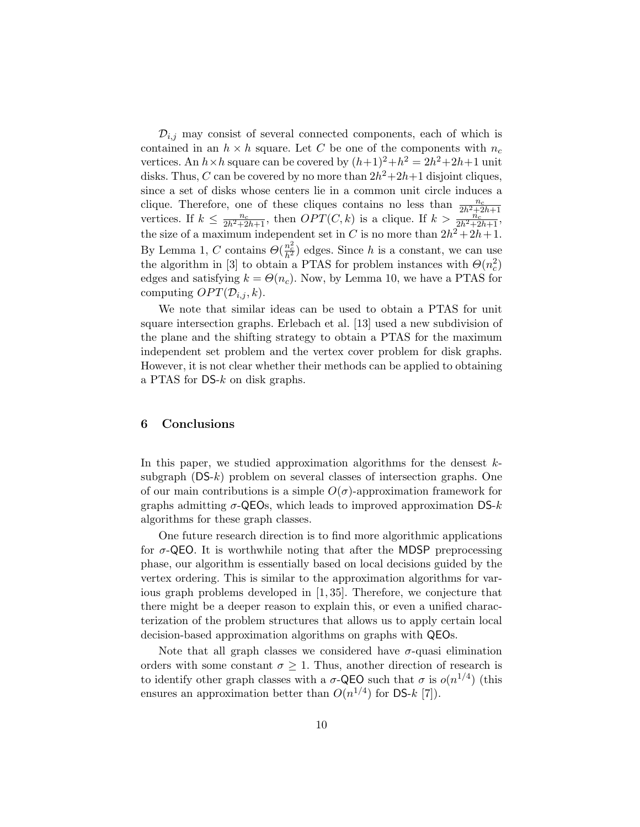$\mathcal{D}_{i,j}$  may consist of several connected components, each of which is contained in an  $h \times h$  square. Let C be one of the components with  $n_c$ vertices. An  $h \times h$  square can be covered by  $(h+1)^2 + h^2 = 2h^2 + 2h + 1$  unit disks. Thus, C can be covered by no more than  $2h^2 + 2h + 1$  disjoint cliques, since a set of disks whose centers lie in a common unit circle induces a clique. Therefore, one of these cliques contains no less than  $\frac{n_c}{2h^2+2h+1}$ vertices. If  $k \leq \frac{n_c}{2h^2+2h+1}$ , then  $OPT(C, k)$  is a clique. If  $k > \frac{2h}{2h^2+2h+1}$ , the size of a maximum independent set in C is no more than  $2h^2 + 2h + 1$ . By Lemma 1, C contains  $\Theta(\frac{n_c^2}{h^2})$  edges. Since h is a constant, we can use the algorithm in [3] to obtain a PTAS for problem instances with  $\Theta(n_c^2)$ edges and satisfying  $k = \Theta(n_c)$ . Now, by Lemma 10, we have a PTAS for computing  $OPT(\mathcal{D}_{i,j}, k)$ .

We note that similar ideas can be used to obtain a PTAS for unit square intersection graphs. Erlebach et al. [13] used a new subdivision of the plane and the shifting strategy to obtain a PTAS for the maximum independent set problem and the vertex cover problem for disk graphs. However, it is not clear whether their methods can be applied to obtaining a PTAS for DS-k on disk graphs.

# 6 Conclusions

In this paper, we studied approximation algorithms for the densest  $k$ subgraph  $(DS-k)$  problem on several classes of intersection graphs. One of our main contributions is a simple  $O(\sigma)$ -approximation framework for graphs admitting  $\sigma$ -QEOs, which leads to improved approximation DS- $k$ algorithms for these graph classes.

One future research direction is to find more algorithmic applications for  $\sigma$ -QEO. It is worthwhile noting that after the MDSP preprocessing phase, our algorithm is essentially based on local decisions guided by the vertex ordering. This is similar to the approximation algorithms for various graph problems developed in [1, 35]. Therefore, we conjecture that there might be a deeper reason to explain this, or even a unified characterization of the problem structures that allows us to apply certain local decision-based approximation algorithms on graphs with QEOs.

Note that all graph classes we considered have  $\sigma$ -quasi elimination orders with some constant  $\sigma \geq 1$ . Thus, another direction of research is to identify other graph classes with a  $\sigma$ -QEO such that  $\sigma$  is  $o(n^{1/4})$  (this ensures an approximation better than  $O(n^{1/4})$  for DS-k [7]).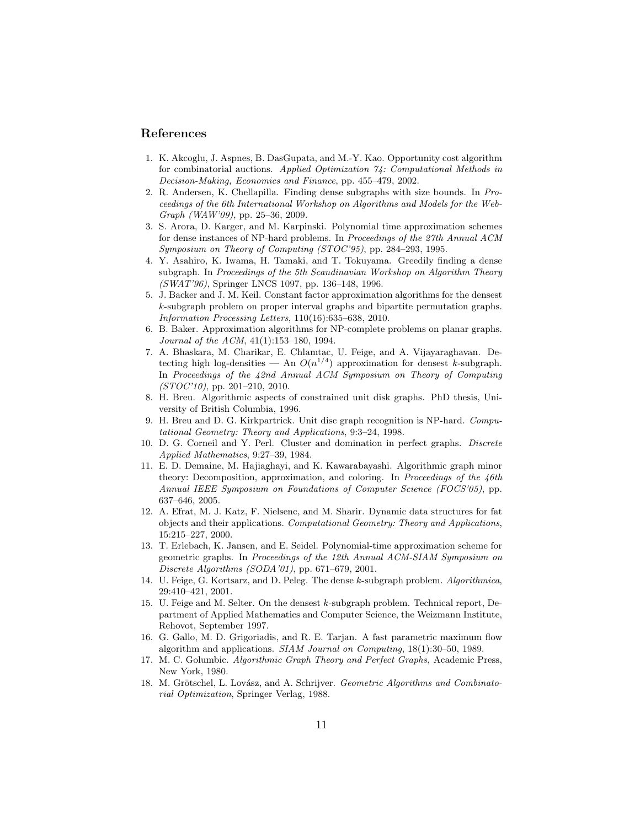### References

- 1. K. Akcoglu, J. Aspnes, B. DasGupata, and M.-Y. Kao. Opportunity cost algorithm for combinatorial auctions. Applied Optimization 74: Computational Methods in Decision-Making, Economics and Finance, pp. 455–479, 2002.
- 2. R. Andersen, K. Chellapilla. Finding dense subgraphs with size bounds. In Proceedings of the 6th International Workshop on Algorithms and Models for the Web- $Graph (WAW'09)$ , pp. 25–36, 2009.
- 3. S. Arora, D. Karger, and M. Karpinski. Polynomial time approximation schemes for dense instances of NP-hard problems. In Proceedings of the 27th Annual ACM Symposium on Theory of Computing (STOC'95), pp. 284–293, 1995.
- 4. Y. Asahiro, K. Iwama, H. Tamaki, and T. Tokuyama. Greedily finding a dense subgraph. In Proceedings of the 5th Scandinavian Workshop on Algorithm Theory (SWAT'96), Springer LNCS 1097, pp. 136–148, 1996.
- 5. J. Backer and J. M. Keil. Constant factor approximation algorithms for the densest k-subgraph problem on proper interval graphs and bipartite permutation graphs. Information Processing Letters, 110(16):635–638, 2010.
- 6. B. Baker. Approximation algorithms for NP-complete problems on planar graphs. Journal of the ACM, 41(1):153–180, 1994.
- 7. A. Bhaskara, M. Charikar, E. Chlamtac, U. Feige, and A. Vijayaraghavan. Detecting high log-densities — An  $O(n^{1/4})$  approximation for densest k-subgraph. In Proceedings of the 42nd Annual ACM Symposium on Theory of Computing  $(TTOC'10)$ , pp. 201–210, 2010.
- 8. H. Breu. Algorithmic aspects of constrained unit disk graphs. PhD thesis, University of British Columbia, 1996.
- 9. H. Breu and D. G. Kirkpartrick. Unit disc graph recognition is NP-hard. Computational Geometry: Theory and Applications, 9:3–24, 1998.
- 10. D. G. Corneil and Y. Perl. Cluster and domination in perfect graphs. Discrete Applied Mathematics, 9:27–39, 1984.
- 11. E. D. Demaine, M. Hajiaghayi, and K. Kawarabayashi. Algorithmic graph minor theory: Decomposition, approximation, and coloring. In Proceedings of the  $46th$ Annual IEEE Symposium on Foundations of Computer Science (FOCS'05), pp. 637–646, 2005.
- 12. A. Efrat, M. J. Katz, F. Nielsenc, and M. Sharir. Dynamic data structures for fat objects and their applications. Computational Geometry: Theory and Applications, 15:215–227, 2000.
- 13. T. Erlebach, K. Jansen, and E. Seidel. Polynomial-time approximation scheme for geometric graphs. In Proceedings of the 12th Annual ACM-SIAM Symposium on Discrete Algorithms (SODA'01), pp. 671–679, 2001.
- 14. U. Feige, G. Kortsarz, and D. Peleg. The dense k-subgraph problem. Algorithmica, 29:410–421, 2001.
- 15. U. Feige and M. Selter. On the densest k-subgraph problem. Technical report, Department of Applied Mathematics and Computer Science, the Weizmann Institute, Rehovot, September 1997.
- 16. G. Gallo, M. D. Grigoriadis, and R. E. Tarjan. A fast parametric maximum flow algorithm and applications. SIAM Journal on Computing, 18(1):30–50, 1989.
- 17. M. C. Golumbic. Algorithmic Graph Theory and Perfect Graphs, Academic Press, New York, 1980.
- 18. M. Grötschel, L. Lovász, and A. Schrijver. Geometric Algorithms and Combinatorial Optimization, Springer Verlag, 1988.